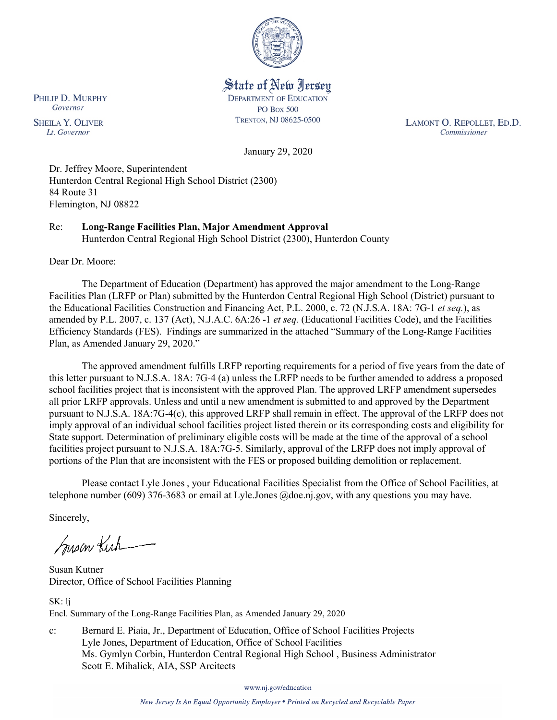

State of New Jersey **DEPARTMENT OF EDUCATION PO Box 500** TRENTON, NJ 08625-0500

LAMONT O. REPOLLET, ED.D. Commissioner

January 29, 2020

Dr. Jeffrey Moore, Superintendent Hunterdon Central Regional High School District (2300) 84 Route 31 Flemington, NJ 08822

Re: **Long-Range Facilities Plan, Major Amendment Approval** Hunterdon Central Regional High School District (2300), Hunterdon County

Dear Dr. Moore:

The Department of Education (Department) has approved the major amendment to the Long-Range Facilities Plan (LRFP or Plan) submitted by the Hunterdon Central Regional High School (District) pursuant to the Educational Facilities Construction and Financing Act, P.L. 2000, c. 72 (N.J.S.A. 18A: 7G-1 *et seq.*), as amended by P.L. 2007, c. 137 (Act), N.J.A.C. 6A:26 -1 *et seq.* (Educational Facilities Code), and the Facilities Efficiency Standards (FES). Findings are summarized in the attached "Summary of the Long-Range Facilities Plan, as Amended January 29, 2020."

The approved amendment fulfills LRFP reporting requirements for a period of five years from the date of this letter pursuant to N.J.S.A. 18A: 7G-4 (a) unless the LRFP needs to be further amended to address a proposed school facilities project that is inconsistent with the approved Plan. The approved LRFP amendment supersedes all prior LRFP approvals. Unless and until a new amendment is submitted to and approved by the Department pursuant to N.J.S.A. 18A:7G-4(c), this approved LRFP shall remain in effect. The approval of the LRFP does not imply approval of an individual school facilities project listed therein or its corresponding costs and eligibility for State support. Determination of preliminary eligible costs will be made at the time of the approval of a school facilities project pursuant to N.J.S.A. 18A:7G-5. Similarly, approval of the LRFP does not imply approval of portions of the Plan that are inconsistent with the FES or proposed building demolition or replacement.

Please contact Lyle Jones , your Educational Facilities Specialist from the Office of School Facilities, at telephone number (609) 376-3683 or email at Lyle.Jones @doe.nj.gov, with any questions you may have.

Sincerely,

Susan Kich

Susan Kutner Director, Office of School Facilities Planning

SK: lj Encl. Summary of the Long-Range Facilities Plan, as Amended January 29, 2020

c: Bernard E. Piaia, Jr., Department of Education, Office of School Facilities Projects Lyle Jones, Department of Education, Office of School Facilities Ms. Gymlyn Corbin, Hunterdon Central Regional High School , Business Administrator Scott E. Mihalick, AIA, SSP Arcitects

www.nj.gov/education

New Jersey Is An Equal Opportunity Employer . Printed on Recycled and Recyclable Paper

PHILIP D. MURPHY Governor

**SHEILA Y. OLIVER** Lt. Governor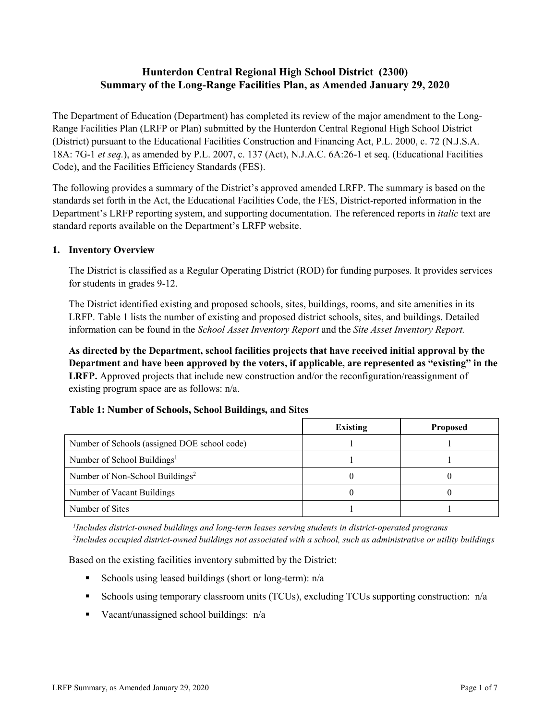# **Hunterdon Central Regional High School District (2300) Summary of the Long-Range Facilities Plan, as Amended January 29, 2020**

The Department of Education (Department) has completed its review of the major amendment to the Long-Range Facilities Plan (LRFP or Plan) submitted by the Hunterdon Central Regional High School District (District) pursuant to the Educational Facilities Construction and Financing Act, P.L. 2000, c. 72 (N.J.S.A. 18A: 7G-1 *et seq.*), as amended by P.L. 2007, c. 137 (Act), N.J.A.C. 6A:26-1 et seq. (Educational Facilities Code), and the Facilities Efficiency Standards (FES).

The following provides a summary of the District's approved amended LRFP. The summary is based on the standards set forth in the Act, the Educational Facilities Code, the FES, District-reported information in the Department's LRFP reporting system, and supporting documentation. The referenced reports in *italic* text are standard reports available on the Department's LRFP website.

#### **1. Inventory Overview**

The District is classified as a Regular Operating District (ROD) for funding purposes. It provides services for students in grades 9-12.

The District identified existing and proposed schools, sites, buildings, rooms, and site amenities in its LRFP. Table 1 lists the number of existing and proposed district schools, sites, and buildings. Detailed information can be found in the *School Asset Inventory Report* and the *Site Asset Inventory Report.*

**As directed by the Department, school facilities projects that have received initial approval by the Department and have been approved by the voters, if applicable, are represented as "existing" in the LRFP.** Approved projects that include new construction and/or the reconfiguration/reassignment of existing program space are as follows: n/a.

#### **Table 1: Number of Schools, School Buildings, and Sites**

|                                              | Existing | <b>Proposed</b> |
|----------------------------------------------|----------|-----------------|
| Number of Schools (assigned DOE school code) |          |                 |
| Number of School Buildings <sup>1</sup>      |          |                 |
| Number of Non-School Buildings <sup>2</sup>  |          |                 |
| Number of Vacant Buildings                   |          |                 |
| Number of Sites                              |          |                 |

*1 Includes district-owned buildings and long-term leases serving students in district-operated programs 2 Includes occupied district-owned buildings not associated with a school, such as administrative or utility buildings*

Based on the existing facilities inventory submitted by the District:

- Schools using leased buildings (short or long-term):  $n/a$
- Schools using temporary classroom units (TCUs), excluding TCUs supporting construction:  $n/a$
- Vacant/unassigned school buildings:  $n/a$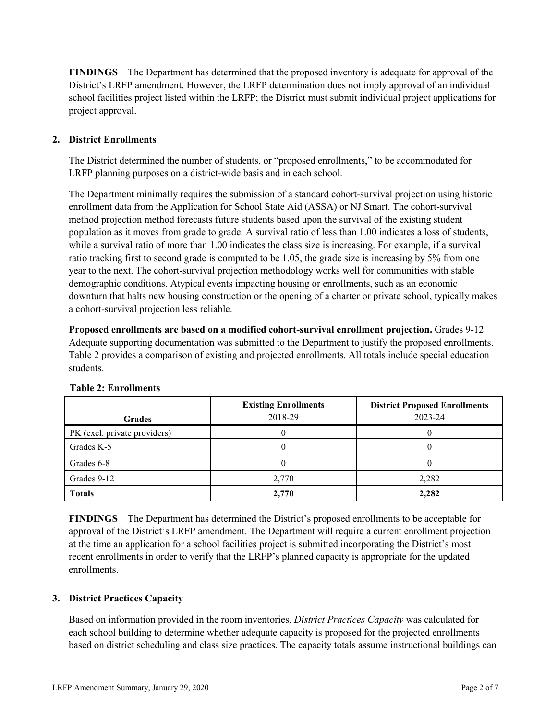**FINDINGS** The Department has determined that the proposed inventory is adequate for approval of the District's LRFP amendment. However, the LRFP determination does not imply approval of an individual school facilities project listed within the LRFP; the District must submit individual project applications for project approval.

# **2. District Enrollments**

The District determined the number of students, or "proposed enrollments," to be accommodated for LRFP planning purposes on a district-wide basis and in each school.

The Department minimally requires the submission of a standard cohort-survival projection using historic enrollment data from the Application for School State Aid (ASSA) or NJ Smart. The cohort-survival method projection method forecasts future students based upon the survival of the existing student population as it moves from grade to grade. A survival ratio of less than 1.00 indicates a loss of students, while a survival ratio of more than 1.00 indicates the class size is increasing. For example, if a survival ratio tracking first to second grade is computed to be 1.05, the grade size is increasing by 5% from one year to the next. The cohort-survival projection methodology works well for communities with stable demographic conditions. Atypical events impacting housing or enrollments, such as an economic downturn that halts new housing construction or the opening of a charter or private school, typically makes a cohort-survival projection less reliable.

**Proposed enrollments are based on a modified cohort-survival enrollment projection.** Grades 9-12 Adequate supporting documentation was submitted to the Department to justify the proposed enrollments. Table 2 provides a comparison of existing and projected enrollments. All totals include special education students.

| <b>Grades</b>                | <b>Existing Enrollments</b><br>2018-29 | <b>District Proposed Enrollments</b><br>2023-24 |
|------------------------------|----------------------------------------|-------------------------------------------------|
| PK (excl. private providers) |                                        |                                                 |
| Grades K-5                   |                                        |                                                 |
| Grades 6-8                   |                                        |                                                 |
| Grades 9-12                  | 2,770                                  | 2,282                                           |
| <b>Totals</b>                | 2,770                                  | 2,282                                           |

# **Table 2: Enrollments**

**FINDINGS** The Department has determined the District's proposed enrollments to be acceptable for approval of the District's LRFP amendment. The Department will require a current enrollment projection at the time an application for a school facilities project is submitted incorporating the District's most recent enrollments in order to verify that the LRFP's planned capacity is appropriate for the updated enrollments.

# **3. District Practices Capacity**

Based on information provided in the room inventories, *District Practices Capacity* was calculated for each school building to determine whether adequate capacity is proposed for the projected enrollments based on district scheduling and class size practices. The capacity totals assume instructional buildings can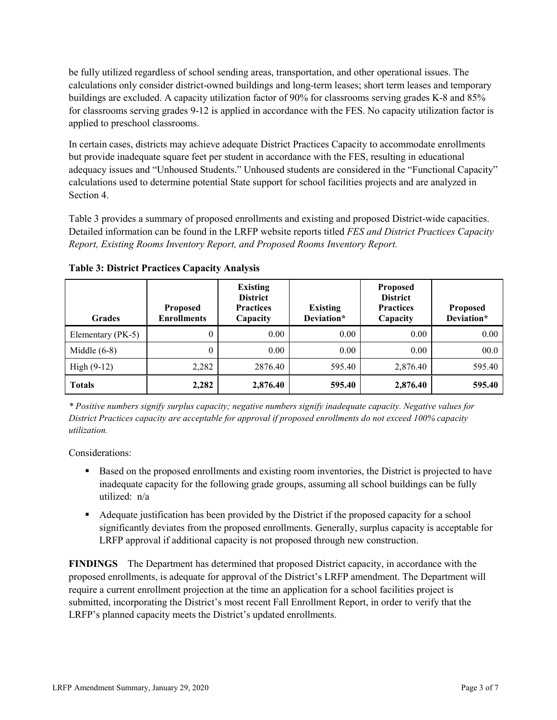be fully utilized regardless of school sending areas, transportation, and other operational issues. The calculations only consider district-owned buildings and long-term leases; short term leases and temporary buildings are excluded. A capacity utilization factor of 90% for classrooms serving grades K-8 and 85% for classrooms serving grades 9-12 is applied in accordance with the FES. No capacity utilization factor is applied to preschool classrooms.

In certain cases, districts may achieve adequate District Practices Capacity to accommodate enrollments but provide inadequate square feet per student in accordance with the FES, resulting in educational adequacy issues and "Unhoused Students." Unhoused students are considered in the "Functional Capacity" calculations used to determine potential State support for school facilities projects and are analyzed in Section 4.

Table 3 provides a summary of proposed enrollments and existing and proposed District-wide capacities. Detailed information can be found in the LRFP website reports titled *FES and District Practices Capacity Report, Existing Rooms Inventory Report, and Proposed Rooms Inventory Report.*

| <b>Grades</b>     | <b>Proposed</b><br><b>Enrollments</b> | <b>Existing</b><br><b>District</b><br><b>Practices</b><br>Capacity | <b>Existing</b><br>Deviation* | <b>Proposed</b><br><b>District</b><br><b>Practices</b><br>Capacity | <b>Proposed</b><br>Deviation* |
|-------------------|---------------------------------------|--------------------------------------------------------------------|-------------------------------|--------------------------------------------------------------------|-------------------------------|
| Elementary (PK-5) | $\theta$                              | 0.00                                                               | 0.00                          | 0.00                                                               | 0.00                          |
| Middle $(6-8)$    | $\boldsymbol{0}$                      | 0.00                                                               | 0.00                          | 0.00                                                               | 00.0                          |
| High $(9-12)$     | 2,282                                 | 2876.40                                                            | 595.40                        | 2,876.40                                                           | 595.40                        |
| <b>Totals</b>     | 2,282                                 | 2,876.40                                                           | 595.40                        | 2,876.40                                                           | 595.40                        |

**Table 3: District Practices Capacity Analysis**

*\* Positive numbers signify surplus capacity; negative numbers signify inadequate capacity. Negative values for District Practices capacity are acceptable for approval if proposed enrollments do not exceed 100% capacity utilization.*

Considerations:

- **Based on the proposed enrollments and existing room inventories, the District is projected to have** inadequate capacity for the following grade groups, assuming all school buildings can be fully utilized: n/a
- Adequate justification has been provided by the District if the proposed capacity for a school significantly deviates from the proposed enrollments. Generally, surplus capacity is acceptable for LRFP approval if additional capacity is not proposed through new construction.

**FINDINGS**The Department has determined that proposed District capacity, in accordance with the proposed enrollments, is adequate for approval of the District's LRFP amendment. The Department will require a current enrollment projection at the time an application for a school facilities project is submitted, incorporating the District's most recent Fall Enrollment Report, in order to verify that the LRFP's planned capacity meets the District's updated enrollments.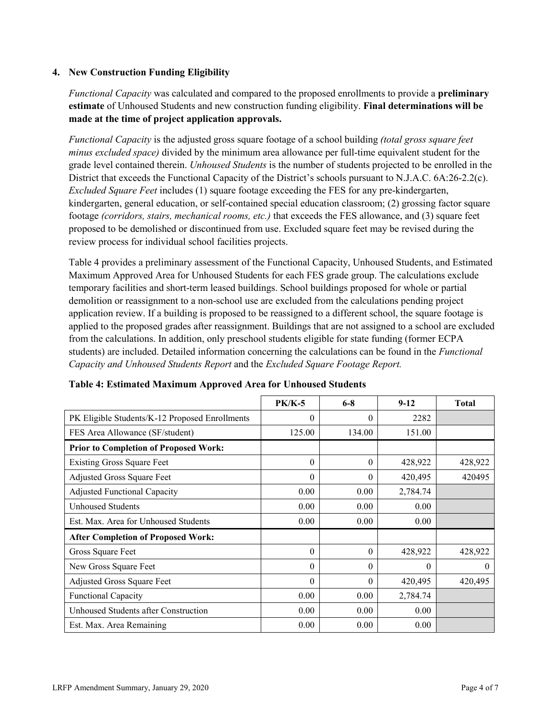#### **4. New Construction Funding Eligibility**

*Functional Capacity* was calculated and compared to the proposed enrollments to provide a **preliminary estimate** of Unhoused Students and new construction funding eligibility. **Final determinations will be made at the time of project application approvals.**

*Functional Capacity* is the adjusted gross square footage of a school building *(total gross square feet minus excluded space)* divided by the minimum area allowance per full-time equivalent student for the grade level contained therein. *Unhoused Students* is the number of students projected to be enrolled in the District that exceeds the Functional Capacity of the District's schools pursuant to N.J.A.C. 6A:26-2.2(c). *Excluded Square Feet* includes (1) square footage exceeding the FES for any pre-kindergarten, kindergarten, general education, or self-contained special education classroom; (2) grossing factor square footage *(corridors, stairs, mechanical rooms, etc.)* that exceeds the FES allowance, and (3) square feet proposed to be demolished or discontinued from use. Excluded square feet may be revised during the review process for individual school facilities projects.

Table 4 provides a preliminary assessment of the Functional Capacity, Unhoused Students, and Estimated Maximum Approved Area for Unhoused Students for each FES grade group. The calculations exclude temporary facilities and short-term leased buildings. School buildings proposed for whole or partial demolition or reassignment to a non-school use are excluded from the calculations pending project application review. If a building is proposed to be reassigned to a different school, the square footage is applied to the proposed grades after reassignment. Buildings that are not assigned to a school are excluded from the calculations. In addition, only preschool students eligible for state funding (former ECPA students) are included. Detailed information concerning the calculations can be found in the *Functional Capacity and Unhoused Students Report* and the *Excluded Square Footage Report.*

|                                                | <b>PK/K-5</b> | $6 - 8$  | $9 - 12$ | <b>Total</b> |
|------------------------------------------------|---------------|----------|----------|--------------|
| PK Eligible Students/K-12 Proposed Enrollments | $\theta$      | $\Omega$ | 2282     |              |
| FES Area Allowance (SF/student)                | 125.00        | 134.00   | 151.00   |              |
| <b>Prior to Completion of Proposed Work:</b>   |               |          |          |              |
| <b>Existing Gross Square Feet</b>              | $\theta$      | 0        | 428,922  | 428,922      |
| Adjusted Gross Square Feet                     | $\theta$      | $\theta$ | 420,495  | 420495       |
| <b>Adjusted Functional Capacity</b>            | 0.00          | 0.00     | 2,784.74 |              |
| Unhoused Students                              | 0.00          | 0.00     | 0.00     |              |
| Est. Max. Area for Unhoused Students           | 0.00          | 0.00     | 0.00     |              |
| <b>After Completion of Proposed Work:</b>      |               |          |          |              |
| Gross Square Feet                              | $\theta$      | $\theta$ | 428,922  | 428,922      |
| New Gross Square Feet                          | $\theta$      | $\theta$ | $\theta$ | $\theta$     |
| Adjusted Gross Square Feet                     | $\Omega$      | $\Omega$ | 420,495  | 420,495      |
| Functional Capacity                            | 0.00          | 0.00     | 2,784.74 |              |
| Unhoused Students after Construction           | 0.00          | 0.00     | 0.00     |              |
| Est. Max. Area Remaining                       | 0.00          | 0.00     | 0.00     |              |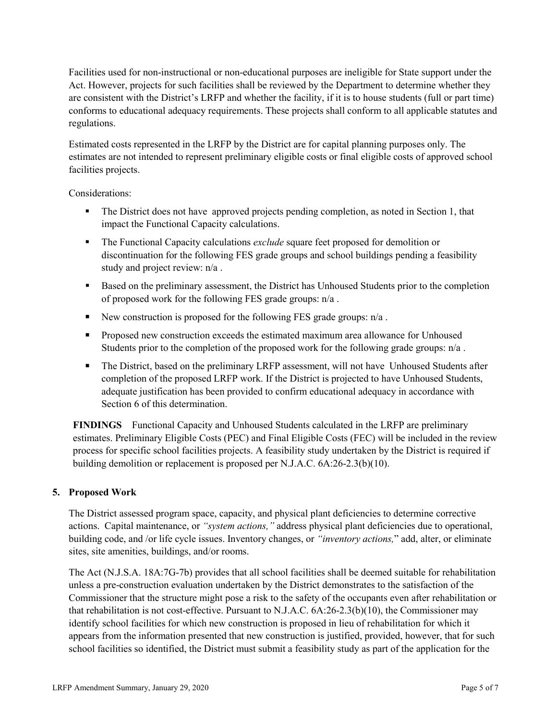Facilities used for non-instructional or non-educational purposes are ineligible for State support under the Act. However, projects for such facilities shall be reviewed by the Department to determine whether they are consistent with the District's LRFP and whether the facility, if it is to house students (full or part time) conforms to educational adequacy requirements. These projects shall conform to all applicable statutes and regulations.

Estimated costs represented in the LRFP by the District are for capital planning purposes only. The estimates are not intended to represent preliminary eligible costs or final eligible costs of approved school facilities projects.

Considerations:

- The District does not have approved projects pending completion, as noted in Section 1, that impact the Functional Capacity calculations.
- The Functional Capacity calculations *exclude* square feet proposed for demolition or discontinuation for the following FES grade groups and school buildings pending a feasibility study and project review: n/a .
- Based on the preliminary assessment, the District has Unhoused Students prior to the completion of proposed work for the following FES grade groups: n/a .
- New construction is proposed for the following FES grade groups:  $n/a$ .
- **Proposed new construction exceeds the estimated maximum area allowance for Unhoused** Students prior to the completion of the proposed work for the following grade groups:  $n/a$ .
- The District, based on the preliminary LRFP assessment, will not have Unhoused Students after completion of the proposed LRFP work. If the District is projected to have Unhoused Students, adequate justification has been provided to confirm educational adequacy in accordance with Section 6 of this determination.

**FINDINGS** Functional Capacity and Unhoused Students calculated in the LRFP are preliminary estimates. Preliminary Eligible Costs (PEC) and Final Eligible Costs (FEC) will be included in the review process for specific school facilities projects. A feasibility study undertaken by the District is required if building demolition or replacement is proposed per N.J.A.C. 6A:26-2.3(b)(10).

# **5. Proposed Work**

The District assessed program space, capacity, and physical plant deficiencies to determine corrective actions. Capital maintenance, or *"system actions,"* address physical plant deficiencies due to operational, building code, and /or life cycle issues. Inventory changes, or *"inventory actions,*" add, alter, or eliminate sites, site amenities, buildings, and/or rooms.

The Act (N.J.S.A. 18A:7G-7b) provides that all school facilities shall be deemed suitable for rehabilitation unless a pre-construction evaluation undertaken by the District demonstrates to the satisfaction of the Commissioner that the structure might pose a risk to the safety of the occupants even after rehabilitation or that rehabilitation is not cost-effective. Pursuant to N.J.A.C. 6A:26-2.3(b)(10), the Commissioner may identify school facilities for which new construction is proposed in lieu of rehabilitation for which it appears from the information presented that new construction is justified, provided, however, that for such school facilities so identified, the District must submit a feasibility study as part of the application for the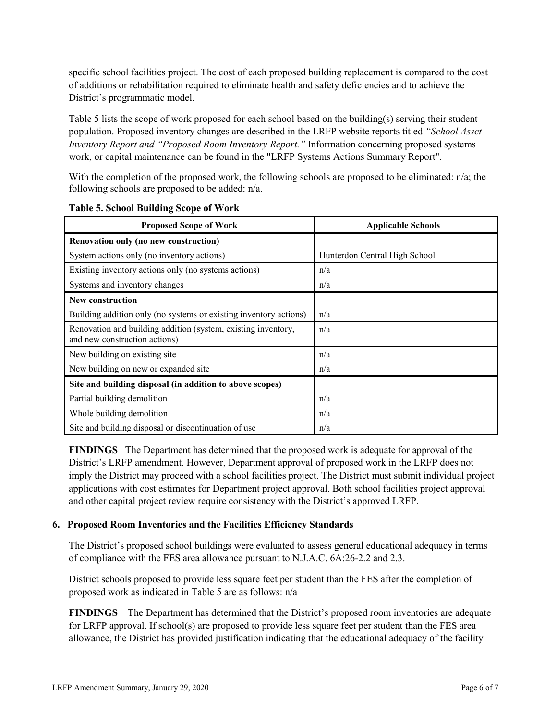specific school facilities project. The cost of each proposed building replacement is compared to the cost of additions or rehabilitation required to eliminate health and safety deficiencies and to achieve the District's programmatic model.

Table 5 lists the scope of work proposed for each school based on the building(s) serving their student population. Proposed inventory changes are described in the LRFP website reports titled *"School Asset Inventory Report and "Proposed Room Inventory Report."* Information concerning proposed systems work, or capital maintenance can be found in the "LRFP Systems Actions Summary Report".

With the completion of the proposed work, the following schools are proposed to be eliminated: n/a; the following schools are proposed to be added: n/a.

| <b>Proposed Scope of Work</b>                                                                  | <b>Applicable Schools</b>     |
|------------------------------------------------------------------------------------------------|-------------------------------|
| Renovation only (no new construction)                                                          |                               |
| System actions only (no inventory actions)                                                     | Hunterdon Central High School |
| Existing inventory actions only (no systems actions)                                           | n/a                           |
| Systems and inventory changes                                                                  | n/a                           |
| <b>New construction</b>                                                                        |                               |
| Building addition only (no systems or existing inventory actions)                              | n/a                           |
| Renovation and building addition (system, existing inventory,<br>and new construction actions) | n/a                           |
| New building on existing site                                                                  | n/a                           |
| New building on new or expanded site                                                           | n/a                           |
| Site and building disposal (in addition to above scopes)                                       |                               |
| Partial building demolition                                                                    | n/a                           |
| Whole building demolition                                                                      | n/a                           |
| Site and building disposal or discontinuation of use                                           | n/a                           |

**Table 5. School Building Scope of Work**

**FINDINGS** The Department has determined that the proposed work is adequate for approval of the District's LRFP amendment. However, Department approval of proposed work in the LRFP does not imply the District may proceed with a school facilities project. The District must submit individual project applications with cost estimates for Department project approval. Both school facilities project approval and other capital project review require consistency with the District's approved LRFP.

#### **6. Proposed Room Inventories and the Facilities Efficiency Standards**

The District's proposed school buildings were evaluated to assess general educational adequacy in terms of compliance with the FES area allowance pursuant to N.J.A.C. 6A:26-2.2 and 2.3.

District schools proposed to provide less square feet per student than the FES after the completion of proposed work as indicated in Table 5 are as follows: n/a

**FINDINGS** The Department has determined that the District's proposed room inventories are adequate for LRFP approval. If school(s) are proposed to provide less square feet per student than the FES area allowance, the District has provided justification indicating that the educational adequacy of the facility